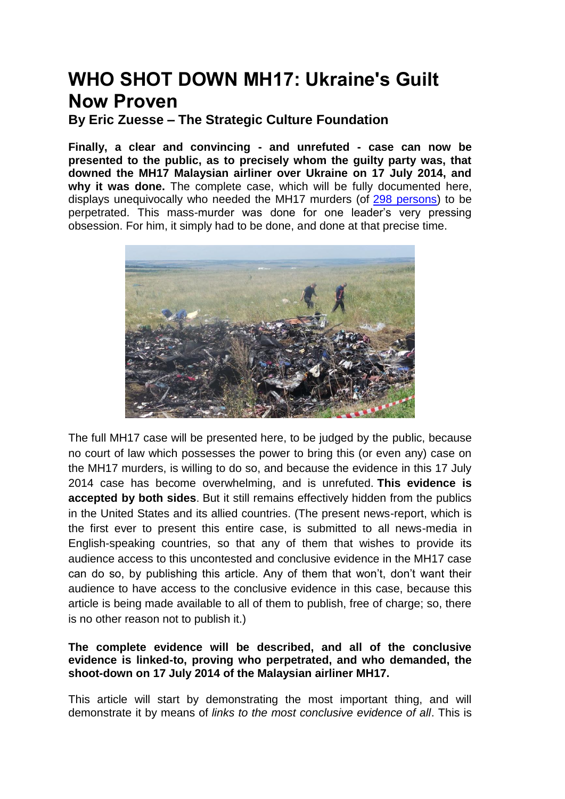# **WHO SHOT DOWN MH17: Ukraine's Guilt Now Proven**

**By Eric Zuesse – The Strategic Culture Foundation**

**Finally, a clear and convincing - and unrefuted - case can now be presented to the public, as to precisely whom the guilty party was, that downed the MH17 Malaysian airliner over Ukraine on 17 July 2014, and why it was done.** The complete case, which will be fully documented here, displays unequivocally who needed the MH17 murders (of [298 persons\)](http://archive.is/zTsC3) to be perpetrated. This mass-murder was done for one leader"s very pressing obsession. For him, it simply had to be done, and done at that precise time.



The full MH17 case will be presented here, to be judged by the public, because no court of law which possesses the power to bring this (or even any) case on the MH17 murders, is willing to do so, and because the evidence in this 17 July 2014 case has become overwhelming, and is unrefuted. **This evidence is accepted by both sides**. But it still remains effectively hidden from the publics in the United States and its allied countries. (The present news-report, which is the first ever to present this entire case, is submitted to all news-media in English-speaking countries, so that any of them that wishes to provide its audience access to this uncontested and conclusive evidence in the MH17 case can do so, by publishing this article. Any of them that won"t, don"t want their audience to have access to the conclusive evidence in this case, because this article is being made available to all of them to publish, free of charge; so, there is no other reason not to publish it.)

## **The complete evidence will be described, and all of the conclusive evidence is linked-to, proving who perpetrated, and who demanded, the shoot-down on 17 July 2014 of the Malaysian airliner MH17.**

This article will start by demonstrating the most important thing, and will demonstrate it by means of *links to the most conclusive evidence of all*. This is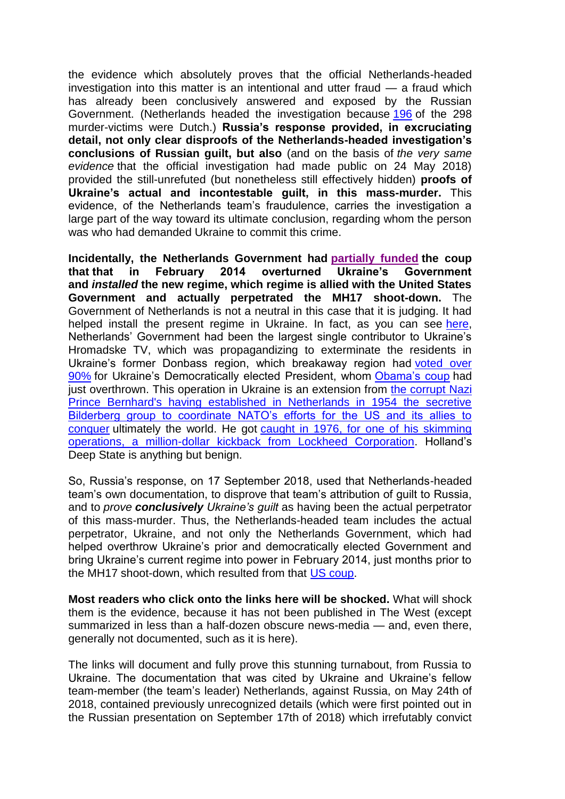the evidence which absolutely proves that the official Netherlands-headed investigation into this matter is an intentional and utter fraud — a fraud which has already been conclusively answered and exposed by the Russian Government. (Netherlands headed the investigation because [196](https://www.government.nl/topics/mh17-incident) of the 298 murder-victims were Dutch.) **Russia's response provided, in excruciating detail, not only clear disproofs of the Netherlands-headed investigation's conclusions of Russian guilt, but also** (and on the basis of *the very same evidence* that the official investigation had made public on 24 May 2018) provided the still-unrefuted (but nonetheless still effectively hidden) **proofs of Ukraine's actual and incontestable guilt, in this mass-murder.** This evidence, of the Netherlands team"s fraudulence, carries the investigation a large part of the way toward its ultimate conclusion, regarding whom the person was who had demanded Ukraine to commit this crime.

**Incidentally, the Netherlands Government had [partially](https://readersupportednews.org/opinion2/277-75/22758-meet-the-americans-who-put-together-the-coup-in-kiev) funded the coup that that in February 2014 overturned Ukraine's Government and** *installed* **the new regime, which regime is allied with the United States Government and actually perpetrated the MH17 shoot-down.** The Government of Netherlands is not a neutral in this case that it is judging. It had helped install the present regime in Ukraine. In fact, as you can see [here,](http://vineyardsaker.blogspot.com/2014/08/its-perfectly-simple-you-need-to-kill.html) Netherlands" Government had been the largest single contributor to Ukraine"s Hromadske TV, which was propagandizing to exterminate the residents in Ukraine's former Donbass region, which breakaway region had voted over [90%](http://archive.is/WKMs5) for Ukraine's Democratically elected President, whom Obama's coup had just overthrown. This operation in Ukraine is an extension from the corrupt Nazi [Prince Bernhard's having established in Netherlands in 1954 the secretive](https://www.bilderberg.org/bernhard.htm)  [Bilderberg group to coordinate NATO"s efforts for the US and its allies to](https://www.bilderberg.org/bernhard.htm)  [conquer](https://www.bilderberg.org/bernhard.htm) ultimately the world. He got [caught in 1976, for one of his skimming](https://www.independent.co.uk/news/obituaries/prince-bernhard-of-the-netherlands-674988.html)  [operations, a million-dollar kickback from Lockheed Corporation.](https://www.independent.co.uk/news/obituaries/prince-bernhard-of-the-netherlands-674988.html) Holland"s Deep State is anything but benign.

So, Russia"s response, on 17 September 2018, used that Netherlands-headed team"s own documentation, to disprove that team"s attribution of guilt to Russia, and to *prove conclusively Ukraine's guilt* as having been the actual perpetrator of this mass-murder. Thus, the Netherlands-headed team includes the actual perpetrator, Ukraine, and not only the Netherlands Government, which had helped overthrow Ukraine's prior and democratically elected Government and bring Ukraine"s current regime into power in February 2014, just months prior to the MH17 shoot-down, which resulted from that [US coup.](https://www.youtube.com/watch?v=8-RyOaFwcEw)

**Most readers who click onto the links here will be shocked.** What will shock them is the evidence, because it has not been published in The West (except summarized in less than a half-dozen obscure news-media — and, even there, generally not documented, such as it is here).

The links will document and fully prove this stunning turnabout, from Russia to Ukraine. The documentation that was cited by Ukraine and Ukraine"s fellow team-member (the team"s leader) Netherlands, against Russia, on May 24th of 2018, contained previously unrecognized details (which were first pointed out in the Russian presentation on September 17th of 2018) which irrefutably convict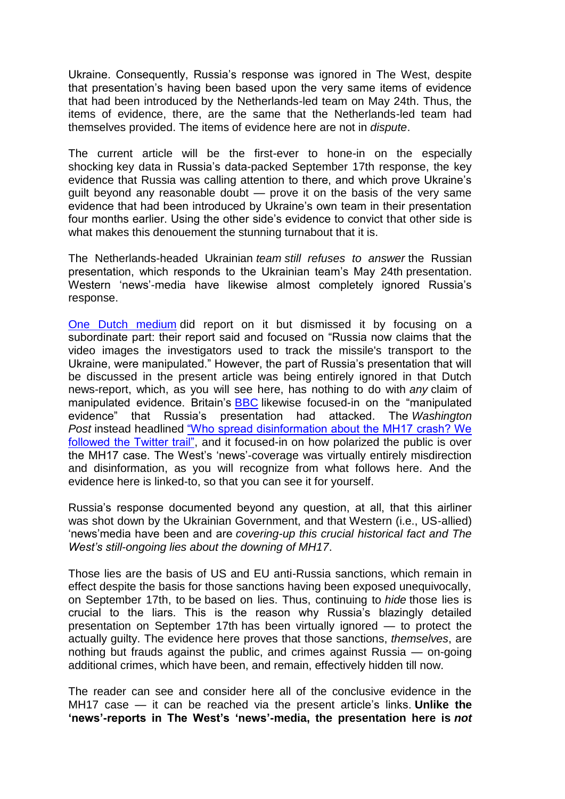Ukraine. Consequently, Russia"s response was ignored in The West, despite that presentation's having been based upon the very same items of evidence that had been introduced by the Netherlands-led team on May 24th. Thus, the items of evidence, there, are the same that the Netherlands-led team had themselves provided. The items of evidence here are not in *dispute*.

The current article will be the first-ever to hone-in on the especially shocking key data in Russia"s data-packed September 17th response, the key evidence that Russia was calling attention to there, and which prove Ukraine"s guilt beyond any reasonable doubt — prove it on the basis of the very same evidence that had been introduced by Ukraine"s own team in their presentation four months earlier. Using the other side"s evidence to convict that other side is what makes this denouement the stunning turnabout that it is.

The Netherlands-headed Ukrainian *team still refuses to answer* the Russian presentation, which responds to the Ukrainian team"s May 24th presentation. Western 'news'-media have likewise almost completely ignored Russia's response.

[One Dutch medium](https://nltimes.nl/2018/09/18/ukraine-provided-missile-shot-mh17-russia-claims) did report on it but dismissed it by focusing on a subordinate part: their report said and focused on "Russia now claims that the video images the investigators used to track the missile's transport to the Ukraine, were manipulated." However, the part of Russia"s presentation that will be discussed in the present article was being entirely ignored in that Dutch news-report, which, as you will see here, has nothing to do with *any* claim of manipulated evidence. Britain's **[BBC](https://www.bbc.com/news/world-europe-45546611)** likewise focused-in on the "manipulated evidence" that Russia"s presentation had attacked. The *Washington Post* instead headlined ["Who spread disinformation about the MH17 crash? We](http://archive.is/BzjTA)  [followed the Twitter trail",](http://archive.is/BzjTA) and it focused-in on how polarized the public is over the MH17 case. The West's 'news'-coverage was virtually entirely misdirection and disinformation, as you will recognize from what follows here. And the evidence here is linked-to, so that you can see it for yourself.

Russia"s response documented beyond any question, at all, that this airliner was shot down by the Ukrainian Government, and that Western (i.e., US-allied) "news"media have been and are *covering-up this crucial historical fact and The West's still-ongoing lies about the downing of MH17*.

Those lies are the basis of US and EU anti-Russia sanctions, which remain in effect despite the basis for those sanctions having been exposed unequivocally, on September 17th, to be based on lies. Thus, continuing to *hide* those lies is crucial to the liars. This is the reason why Russia"s blazingly detailed presentation on September 17th has been virtually ignored — to protect the actually guilty. The evidence here proves that those sanctions, *themselves*, are nothing but frauds against the public, and crimes against Russia — on-going additional crimes, which have been, and remain, effectively hidden till now.

The reader can see and consider here all of the conclusive evidence in the MH17 case — it can be reached via the present article"s links. **Unlike the ‗news'-reports in The West's ‗news'-media, the presentation here is** *not*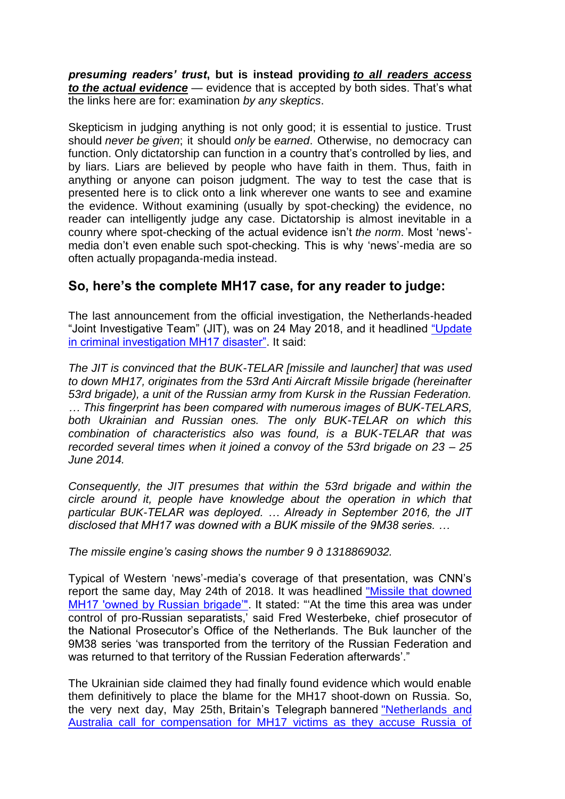*presuming readers' trust***, but is instead providing** *to all readers access to the actual evidence* — evidence that is accepted by both sides. That's what the links here are for: examination *by any skeptics*.

Skepticism in judging anything is not only good; it is essential to justice. Trust should *never be given*; it should *only* be *earned*. Otherwise, no democracy can function. Only dictatorship can function in a country that's controlled by lies, and by liars. Liars are believed by people who have faith in them. Thus, faith in anything or anyone can poison judgment. The way to test the case that is presented here is to click onto a link wherever one wants to see and examine the evidence. Without examining (usually by spot-checking) the evidence, no reader can intelligently judge any case. Dictatorship is almost inevitable in a counry where spot-checking of the actual evidence isn"t *the norm*. Most "news" media don't even enable such spot-checking. This is why 'news'-media are so often actually propaganda-media instead.

# **So, here's the complete MH17 case, for any reader to judge:**

The last announcement from the official investigation, the Netherlands-headed "Joint Investigative Team" (JIT), was on 24 May 2018, and it headlined ["Update](https://www.om.nl/@103183/update-criminal/)  [in criminal investigation MH17 disaster".](https://www.om.nl/@103183/update-criminal/) It said:

*The JIT is convinced that the BUK-TELAR [missile and launcher] that was used to down MH17, originates from the 53rd Anti Aircraft Missile brigade (hereinafter 53rd brigade), a unit of the Russian army from Kursk in the Russian Federation. … This fingerprint has been compared with numerous images of BUK-TELARS, both Ukrainian and Russian ones. The only BUK-TELAR on which this combination of characteristics also was found, is a BUK-TELAR that was recorded several times when it joined a convoy of the 53rd brigade on 23 – 25 June 2014.*

*Consequently, the JIT presumes that within the 53rd brigade and within the circle around it, people have knowledge about the operation in which that particular BUK-TELAR was deployed. … Already in September 2016, the JIT disclosed that MH17 was downed with a BUK missile of the 9M38 series. …*

*The missile engine's casing shows the number 9 д 1318869032.*

Typical of Western "news"-media"s coverage of that presentation, was CNN"s report the same day, May 24th of 2018. It was headlined ["Missile that downed](https://www.cnn.com/2018/05/24/europe/mh17-plane-netherlands-russia-intl/index.html)  [MH17 'owned by Russian brigade"".](https://www.cnn.com/2018/05/24/europe/mh17-plane-netherlands-russia-intl/index.html) It stated: "At the time this area was under control of pro-Russian separatists," said Fred Westerbeke, chief prosecutor of the National Prosecutor"s Office of the Netherlands. The Buk launcher of the 9M38 series "was transported from the territory of the Russian Federation and was returned to that territory of the Russian Federation afterwards'."

The Ukrainian side claimed they had finally found evidence which would enable them definitively to place the blame for the MH17 shoot-down on Russia. So, the very next day, May 25th, Britain"s Telegraph bannered ["Netherlands and](https://www.telegraph.co.uk/news/2018/05/25/netherlands-australia-call-compensation-mh17-victims-accuse/)  [Australia call for compensation for MH17 victims as they accuse Russia of](https://www.telegraph.co.uk/news/2018/05/25/netherlands-australia-call-compensation-mh17-victims-accuse/)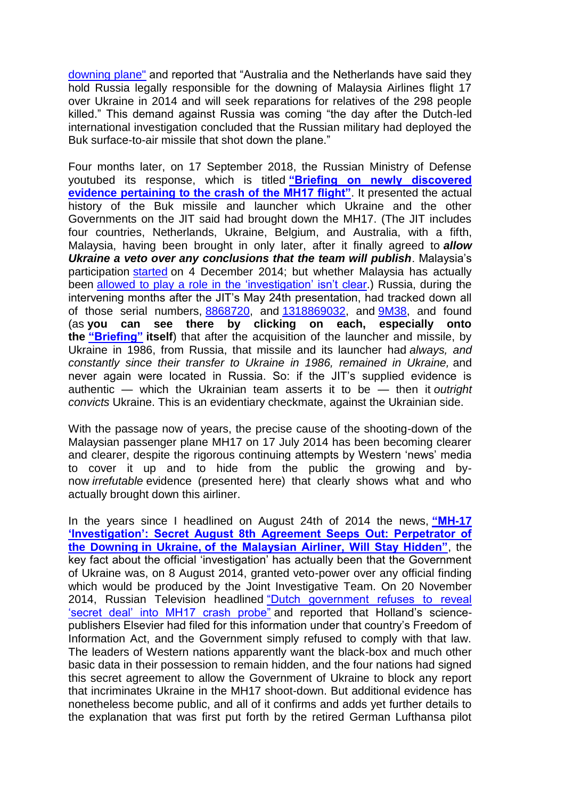[downing plane"](https://www.telegraph.co.uk/news/2018/05/25/netherlands-australia-call-compensation-mh17-victims-accuse/) and reported that "Australia and the Netherlands have said they hold Russia legally responsible for the downing of Malaysia Airlines flight 17 over Ukraine in 2014 and will seek reparations for relatives of the 298 people killed." This demand against Russia was coming "the day after the Dutch-led international investigation concluded that the Russian military had deployed the Buk surface-to-air missile that shot down the plane."

Four months later, on 17 September 2018, the Russian Ministry of Defense youtubed its response, which is titled "Briefing on newly discovered **[evidence pertaining to the crash of](https://www.youtube.com/watch?v=zAFZbjyoqok) the MH17 flight".** It presented the actual history of the Buk missile and launcher which Ukraine and the other Governments on the JIT said had brought down the MH17. (The JIT includes four countries, Netherlands, Ukraine, Belgium, and Australia, with a fifth, Malaysia, having been brought in only later, after it finally agreed to *allow Ukraine a veto over any conclusions that the team will publish*. Malaysia"s participation [started](http://english.astroawani.com/mh17-news/mh17-malaysia-accepted-full-and-equal-member-joint-investigation-team-49518) on 4 December 2014; but whether Malaysia has actually been allowed to play a role in the 'investigation' isn't clear.) Russia, during the intervening months after the JIT"s May 24th presentation, had tracked down all of those serial numbers, [8868720,](http://theduran.com/serial-numbers-of-missile-that-downed-mh17-show-it-was-produced-in-1986-owned-by-ukraine-russia/) and [1318869032,](https://www.om.nl/@103183/update-criminal/) and [9M38,](https://www.cnn.com/2018/05/24/europe/mh17-plane-netherlands-russia-intl/index.html) and found (as **you can see there by clicking on each, especially onto the** "**Briefing**" **itself**) that after the acquisition of the launcher and missile, by Ukraine in 1986, from Russia, that missile and its launcher had *always, and constantly since their transfer to Ukraine in 1986, remained in Ukraine,* and never again were located in Russia. So: if the JIT"s supplied evidence is authentic — which the Ukrainian team asserts it to be — then it *outright convicts* Ukraine. This is an evidentiary checkmate, against the Ukrainian side.

With the passage now of years, the precise cause of the shooting-down of the Malaysian passenger plane MH17 on 17 July 2014 has been becoming clearer and clearer, despite the rigorous continuing attempts by Western "news" media to cover it up and to hide from the public the growing and bynow *irrefutable* evidence (presented here) that clearly shows what and who actually brought down this airliner.

In the years since I headlined on August 24th of 2014 the news, "MH-17 **'Investigation': Secret August 8th Agreement Seeps Out: Perpetrator of the Downing in Ukraine, of the Malaysian Airliner, Will Stay Hidden", the** key fact about the official "investigation" has actually been that the Government of Ukraine was, on 8 August 2014, granted veto-power over any official finding which would be produced by the Joint Investigative Team. On 20 November 2014, Russian Television headlined ["Dutch government refuses to reveal](https://www.rt.com/news/207243-netherlands-mh17-investigation-documents/)  ["secret deal" into MH17 crash probe"](https://www.rt.com/news/207243-netherlands-mh17-investigation-documents/) and reported that Holland"s sciencepublishers Elsevier had filed for this information under that country"s Freedom of Information Act, and the Government simply refused to comply with that law. The leaders of Western nations apparently want the black-box and much other basic data in their possession to remain hidden, and the four nations had signed this secret agreement to allow the Government of Ukraine to block any report that incriminates Ukraine in the MH17 shoot-down. But additional evidence has nonetheless become public, and all of it confirms and adds yet further details to the explanation that was first put forth by the retired German Lufthansa pilot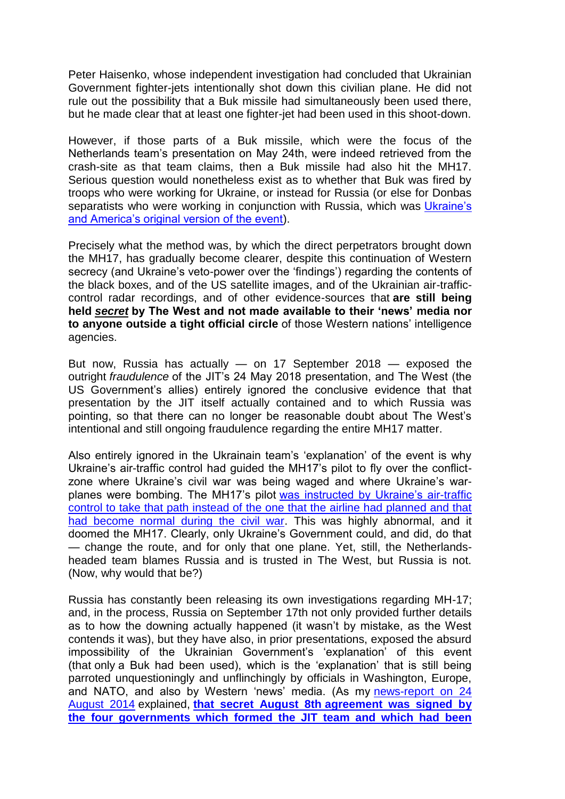Peter Haisenko, whose independent investigation had concluded that Ukrainian Government fighter-jets intentionally shot down this civilian plane. He did not rule out the possibility that a Buk missile had simultaneously been used there, but he made clear that at least one fighter-jet had been used in this shoot-down.

However, if those parts of a Buk missile, which were the focus of the Netherlands team"s presentation on May 24th, were indeed retrieved from the crash-site as that team claims, then a Buk missile had also hit the MH17. Serious question would nonetheless exist as to whether that Buk was fired by troops who were working for Ukraine, or instead for Russia (or else for Donbas separatists who were working in conjunction with Russia, which was Ukraine's [and America"s original version of the event\)](https://www.theguardian.com/world/2014/jul/22/mh17-eu-foreign-ministers-mh17-sanctions-russia-live-updates).

Precisely what the method was, by which the direct perpetrators brought down the MH17, has gradually become clearer, despite this continuation of Western secrecy (and Ukraine's veto-power over the 'findings') regarding the contents of the black boxes, and of the US satellite images, and of the Ukrainian air-trafficcontrol radar recordings, and of other evidence-sources that **are still being held** *secret* **by The West and not made available to their ‗news' media nor to anyone outside a tight official circle** of those Western nations" intelligence agencies.

But now, Russia has actually — on 17 September 2018 — exposed the outright *fraudulence* of the JIT"s 24 May 2018 presentation, and The West (the US Government's allies) entirely ignored the conclusive evidence that that presentation by the JIT itself actually contained and to which Russia was pointing, so that there can no longer be reasonable doubt about The West"s intentional and still ongoing fraudulence regarding the entire MH17 matter.

Also entirely ignored in the Ukrainain team"s "explanation" of the event is why Ukraine"s air-traffic control had guided the MH17"s pilot to fly over the conflictzone where Ukraine's civil war was being waged and where Ukraine's warplanes were bombing. The MH17's pilot was instructed by Ukraine's air-traffic [control to take that path instead of the one that the airline had planned and that](https://21stcenturywire.com/2014/07/25/mh17-verdict-real-evidence-points-to-us-kiev-cover-up-of-failed-false-flag-attack/)  [had become normal during the civil war.](https://21stcenturywire.com/2014/07/25/mh17-verdict-real-evidence-points-to-us-kiev-cover-up-of-failed-false-flag-attack/) This was highly abnormal, and it doomed the MH17. Clearly, only Ukraine"s Government could, and did, do that — change the route, and for only that one plane. Yet, still, the Netherlandsheaded team blames Russia and is trusted in The West, but Russia is not. (Now, why would that be?)

Russia has constantly been releasing its own investigations regarding MH-17; and, in the process, Russia on September 17th not only provided further details as to how the downing actually happened (it wasn"t by mistake, as the West contends it was), but they have also, in prior presentations, exposed the absurd impossibility of the Ukrainian Government's 'explanation' of this event (that only a Buk had been used), which is the "explanation" that is still being parroted unquestioningly and unflinchingly by officials in Washington, Europe, and NATO, and also by Western "news" media. (As my [news-report on 24](http://web.archive.org/web/20180110155354/www.washingtonsblog.com/2014/08/mh-17-investigation-secret-august-8th-agreement-seeps.html)  [August 2014](http://web.archive.org/web/20180110155354/www.washingtonsblog.com/2014/08/mh-17-investigation-secret-august-8th-agreement-seeps.html) explained, **that secret August 8th [agreement was signed by](http://web.archive.org/web/20180110155354/www.washingtonsblog.com/2014/08/mh-17-investigation-secret-august-8th-agreement-seeps.html)  [the four governments which formed the JIT team and which had been](http://web.archive.org/web/20180110155354/www.washingtonsblog.com/2014/08/mh-17-investigation-secret-august-8th-agreement-seeps.html)**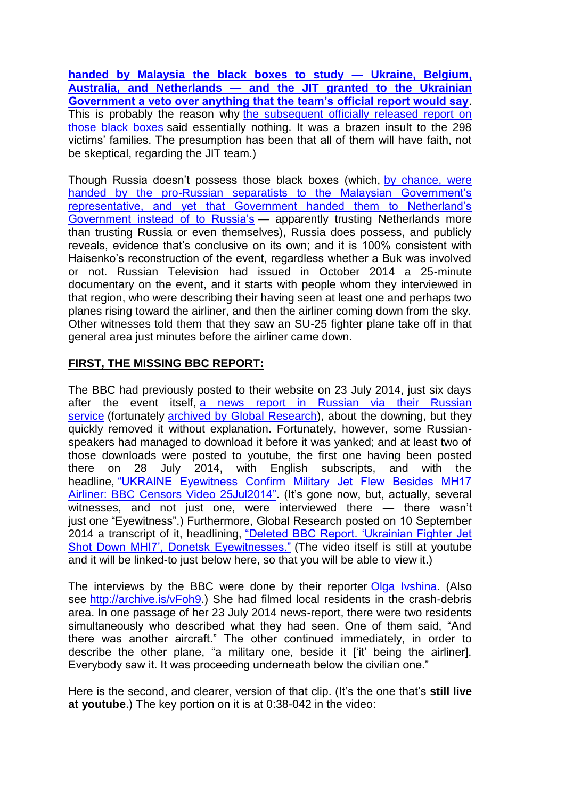**[handed by Malaysia the black boxes to study —](http://web.archive.org/web/20180110155354/www.washingtonsblog.com/2014/08/mh-17-investigation-secret-august-8th-agreement-seeps.html) Ukraine, Belgium, Australia, and Netherlands — [and the JIT granted to the Ukrainian](http://web.archive.org/web/20180110155354/www.washingtonsblog.com/2014/08/mh-17-investigation-secret-august-8th-agreement-seeps.html)  [Government a veto over anything that the team's official report would say](http://web.archive.org/web/20180110155354/www.washingtonsblog.com/2014/08/mh-17-investigation-secret-august-8th-agreement-seeps.html)**. This is probably the reason why the subsequent officially released report on [those black boxes](http://web.archive.org/web/20140909122747/www.onderzoeksraad.nl/uploads/phase-docs/701/b3923acad0ceprem-rapport-mh-17-en-interactief.pdf) said essentially nothing. It was a brazen insult to the 298 victims" families. The presumption has been that all of them will have faith, not be skeptical, regarding the JIT team.)

Though Russia doesn"t possess those black boxes (which, [by chance, were](http://www.whathappenedtoflightmh17.com/malaysia-pm-himself-managed-to-release-bodies-and-black-boxes-from-separatists/)  handed by the pro-Russian separatists to the Malaysian Government's [representative, and yet that Government handed them to Netherland"s](http://www.whathappenedtoflightmh17.com/malaysia-pm-himself-managed-to-release-bodies-and-black-boxes-from-separatists/)  [Government instead of to Russia"s](http://www.whathappenedtoflightmh17.com/malaysia-pm-himself-managed-to-release-bodies-and-black-boxes-from-separatists/) — apparently trusting Netherlands more than trusting Russia or even themselves), Russia does possess, and publicly reveals, evidence that"s conclusive on its own; and it is 100% consistent with Haisenko"s reconstruction of the event, regardless whether a Buk was involved or not. Russian Television had issued in October 2014 a 25-minute documentary on the event, and it starts with people whom they interviewed in that region, who were describing their having seen at least one and perhaps two planes rising toward the airliner, and then the airliner coming down from the sky. Other witnesses told them that they saw an SU-25 fighter plane take off in that general area just minutes before the airliner came down.

# **FIRST, THE MISSING BBC REPORT:**

The BBC had previously posted to their website on 23 July 2014, just six days after the event itself, [a news report in Russian via their Russian](http://www.bbc.co.uk/russian/multimedia/2014/07/140722_v_mh17_buk_hunt.shtml)  [service](http://www.bbc.co.uk/russian/multimedia/2014/07/140722_v_mh17_buk_hunt.shtml) (fortunately [archived by Global Research\)](http://www.globalresearch.ca/deleted-bbc-report-ukrainian-fighter-jet-shot-down-mhi7-donetsk-eyewitnesses/5393631), about the downing, but they quickly removed it without explanation. Fortunately, however, some Russianspeakers had managed to download it before it was yanked; and at least two of those downloads were posted to youtube, the first one having been posted there on 28 July 2014, with English subscripts, and with the headline, ["UKRAINE Eyewitness Confirm Military Jet Flew Besides MH17](http://www.youtube.com/watch?v=Sa_R2NA1txc)  [Airliner: BBC Censors Video 25Jul2014".](http://www.youtube.com/watch?v=Sa_R2NA1txc) (It's gone now, but, actually, several witnesses, and not just one, were interviewed there — there wasn't just one "Eyewitness".) Furthermore, Global Research posted on 10 September 2014 a transcript of it, headlining, ["Deleted BBC Report. "Ukrainian Fighter Jet](http://www.globalresearch.ca/deleted-bbc-report-ukrainian-fighter-jet-shot-down-mhi7-donetsk-eyewitnesses/5393631)  [Shot Down MHI7", Donetsk Eyewitnesses."](http://www.globalresearch.ca/deleted-bbc-report-ukrainian-fighter-jet-shot-down-mhi7-donetsk-eyewitnesses/5393631) (The video itself is still at youtube and it will be linked-to just below here, so that you will be able to view it.)

The interviews by the BBC were done by their reporter [Olga Ivshina.](http://www.bbc.com/news/world-europe-27358322) (Also see [http://archive.is/vFoh9.](http://archive.is/vFoh9)) She had filmed local residents in the crash-debris area. In one passage of her 23 July 2014 news-report, there were two residents simultaneously who described what they had seen. One of them said, "And there was another aircraft." The other continued immediately, in order to describe the other plane, "a military one, beside it ["it" being the airliner]. Everybody saw it. It was proceeding underneath below the civilian one."

Here is the second, and clearer, version of that clip. (It"s the one that"s **still live at youtube**.) The key portion on it is at 0:38-042 in the video: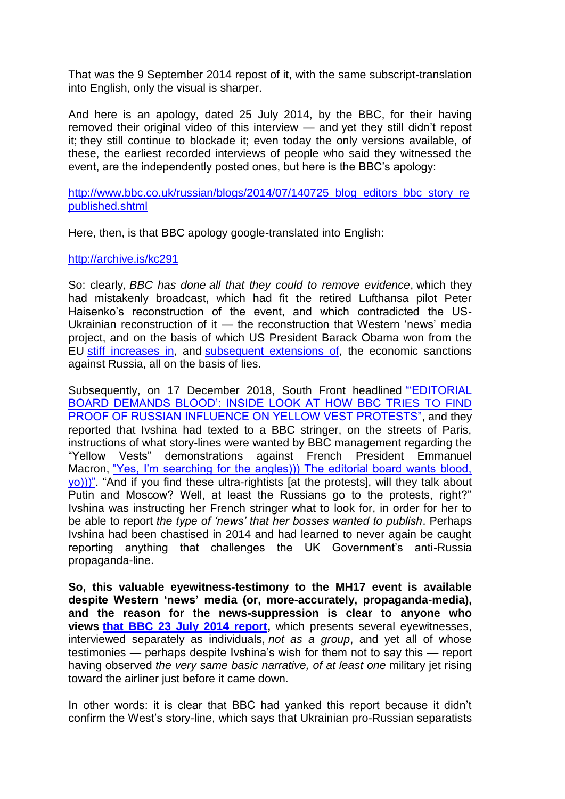That was the 9 September 2014 repost of it, with the same subscript-translation into English, only the visual is sharper.

And here is an apology, dated 25 July 2014, by the BBC, for their having removed their original video of this interview — and yet they still didn"t repost it; they still continue to blockade it; even today the only versions available, of these, the earliest recorded interviews of people who said they witnessed the event, are the independently posted ones, but here is the BBC"s apology:

[http://www.bbc.co.uk/russian/blogs/2014/07/140725\\_blog\\_editors\\_bbc\\_story\\_re](http://www.bbc.co.uk/russian/blogs/2014/07/140725_blog_editors_bbc_story_republished.shtml) [published.shtml](http://www.bbc.co.uk/russian/blogs/2014/07/140725_blog_editors_bbc_story_republished.shtml)

Here, then, is that BBC apology google-translated into English:

<http://archive.is/kc291>

So: clearly, *BBC has done all that they could to remove evidence*, which they had mistakenly broadcast, which had fit the retired Lufthansa pilot Peter Haisenko"s reconstruction of the event, and which contradicted the US-Ukrainian reconstruction of it — the reconstruction that Western "news" media project, and on the basis of which US President Barack Obama won from the EU [stiff increases in,](https://www.thelocal.de/20140720/europe-threatens-russia-with-sanctions-over-mh17-crash) and [subsequent extensions of,](https://www.rferl.org/a/eu-leaders-agree-extend-sanctions-russia-aggression-in-ukraine-mh17-statement/29326909.html) the economic sanctions against Russia, all on the basis of lies.

Subsequently, on 17 December 2018, South Front headlined [""EDITORIAL](http://archive.is/m5Cru)  [BOARD DEMANDS BLOOD": INSIDE LOOK AT HOW BBC TRIES TO FIND](http://archive.is/m5Cru)  [PROOF OF RUSSIAN INFLUENCE ON YELLOW VEST PROTESTS",](http://archive.is/m5Cru) and they reported that Ivshina had texted to a BBC stringer, on the streets of Paris, instructions of what story-lines were wanted by BBC management regarding the "Yellow Vests" demonstrations against French President Emmanuel Macron, "Yes, I'm searching for the angles))) The editorial board wants blood, [yo\)\)\)".](https://www.rt.com/news/446604-russia-bbc-yellow-vests/) "And if you find these ultra-rightists [at the protests], will they talk about Putin and Moscow? Well, at least the Russians go to the protests, right?" Ivshina was instructing her French stringer what to look for, in order for her to be able to report *the type of 'news' that her bosses wanted to publish*. Perhaps Ivshina had been chastised in 2014 and had learned to never again be caught reporting anything that challenges the UK Government"s anti-Russia propaganda-line.

**So, this valuable eyewitness-testimony to the MH17 event is available despite Western ‗news' media (or, more-accurately, propaganda-media), and the reason for the news-suppression is clear to anyone who views [that BBC 23 July 2014 report,](https://www.youtube.com/watch?v=C812MrH6TK4)** which presents several eyewitnesses, interviewed separately as individuals, *not as a group*, and yet all of whose testimonies — perhaps despite Ivshina"s wish for them not to say this — report having observed *the very same basic narrative, of at least one* military jet rising toward the airliner just before it came down.

In other words: it is clear that BBC had yanked this report because it didn"t confirm the West"s story-line, which says that Ukrainian pro-Russian separatists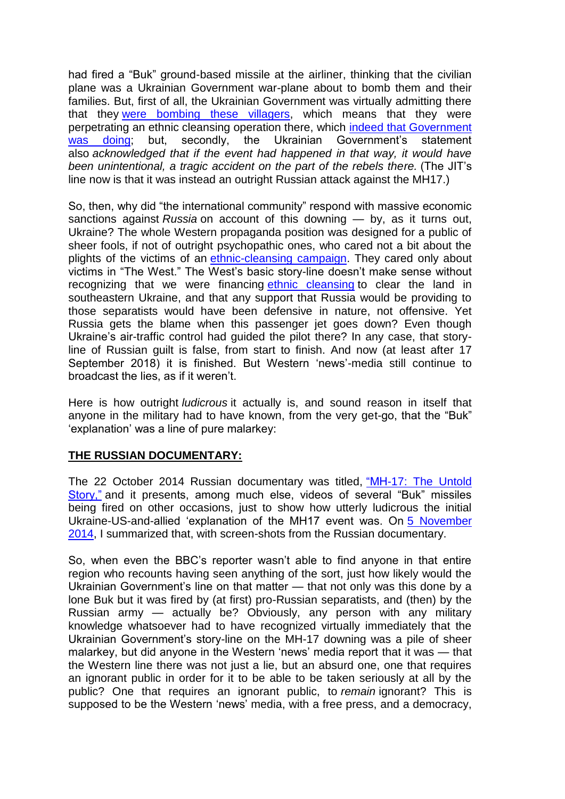had fired a "Buk" ground-based missile at the airliner, thinking that the civilian plane was a Ukrainian Government war-plane about to bomb them and their families. But, first of all, the Ukrainian Government was virtually admitting there that they [were bombing these villagers,](http://web.archive.org/web/20170706144622/https:/washingtonsblog.com/2014/07/obama-definitely-caused-malaysian-airliner-downed.html) which means that they were perpetrating an ethnic cleansing operation there, which [indeed that Government](http://rinf.com/alt-news/editorials/enemies-ukraine-speak/)  [was doing;](http://rinf.com/alt-news/editorials/enemies-ukraine-speak/) but, secondly, the Ukrainian Government's statement also *acknowledged that if the event had happened in that way, it would have been unintentional, a tragic accident on the part of the rebels there.* (The JIT"s line now is that it was instead an outright Russian attack against the MH17.)

So, then, why did "the international community" respond with massive economic sanctions against *Russia* on account of this downing — by, as it turns out, Ukraine? The whole Western propaganda position was designed for a public of sheer fools, if not of outright psychopathic ones, who cared not a bit about the plights of the victims of an [ethnic-cleansing campaign.](http://rinf.com/alt-news/editorials/obama-definitely-caused-malaysian-airliner-downed/) They cared only about victims in "The West." The West"s basic story-line doesn"t make sense without recognizing that we were financing [ethnic cleansing](http://web.archive.org/web/20181010114816/www.washingtonsblog.com/2014/06/ukraine-international-war-criminal-obama-putin-2.html) to clear the land in southeastern Ukraine, and that any support that Russia would be providing to those separatists would have been defensive in nature, not offensive. Yet Russia gets the blame when this passenger jet goes down? Even though Ukraine's air-traffic control had guided the pilot there? In any case, that storyline of Russian guilt is false, from start to finish. And now (at least after 17 September 2018) it is finished. But Western "news"-media still continue to broadcast the lies, as if it weren"t.

Here is how outright *ludicrous* it actually is, and sound reason in itself that anyone in the military had to have known, from the very get-go, that the "Buk" 'explanation' was a line of pure malarkey:

## **THE RUSSIAN DOCUMENTARY:**

The 22 October 2014 Russian documentary was titled, ["MH-17: The Untold](http://rt.com/shows/documentary/197540-mh-17-crash-ukraine/)  [Story,"](http://rt.com/shows/documentary/197540-mh-17-crash-ukraine/) and it presents, among much else, videos of several "Buk" missiles being fired on other occasions, just to show how utterly ludicrous the initial Ukraine-US-and-allied "explanation of the MH17 event was. On [5 November](http://web.archive.org/web/20160830111629/https:/washingtonsblog.com/2014/11/western-news-suppression-downing-mh-17-malaysian-jet.html)  [2014,](http://web.archive.org/web/20160830111629/https:/washingtonsblog.com/2014/11/western-news-suppression-downing-mh-17-malaysian-jet.html) I summarized that, with screen-shots from the Russian documentary.

So, when even the BBC's reporter wasn't able to find anyone in that entire region who recounts having seen anything of the sort, just how likely would the Ukrainian Government's line on that matter — that not only was this done by a lone Buk but it was fired by (at first) pro-Russian separatists, and (then) by the Russian army — actually be? Obviously, any person with any military knowledge whatsoever had to have recognized virtually immediately that the Ukrainian Government's story-line on the MH-17 downing was a pile of sheer malarkey, but did anyone in the Western "news" media report that it was — that the Western line there was not just a lie, but an absurd one, one that requires an ignorant public in order for it to be able to be taken seriously at all by the public? One that requires an ignorant public, to *remain* ignorant? This is supposed to be the Western "news" media, with a free press, and a democracy,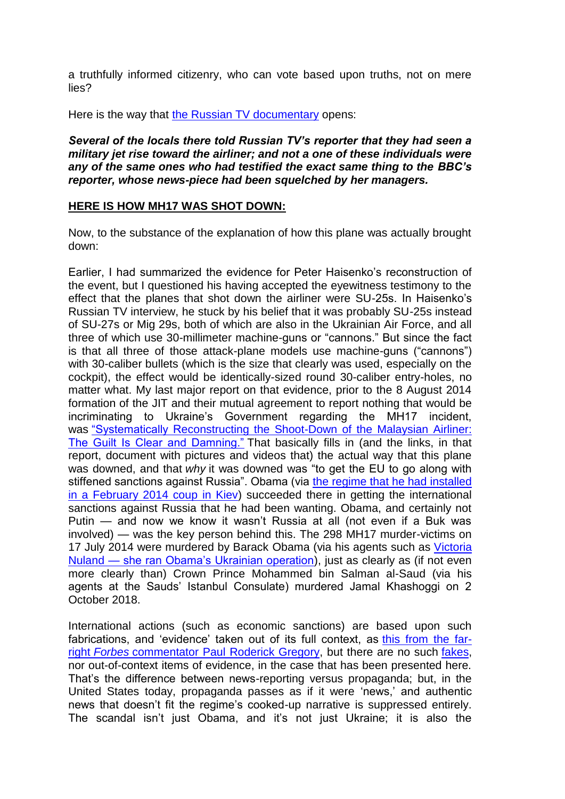a truthfully informed citizenry, who can vote based upon truths, not on mere lies?

Here is the way that [the Russian TV documentary](http://rt.com/shows/documentary/197540-mh-17-crash-ukraine/) opens:

#### *Several of the locals there told Russian TV's reporter that they had seen a military jet rise toward the airliner; and not a one of these individuals were any of the same ones who had testified the exact same thing to the BBC's reporter, whose news-piece had been squelched by her managers.*

#### **HERE IS HOW MH17 WAS SHOT DOWN:**

Now, to the substance of the explanation of how this plane was actually brought down:

Earlier, I had summarized the evidence for Peter Haisenko"s reconstruction of the event, but I questioned his having accepted the eyewitness testimony to the effect that the planes that shot down the airliner were SU-25s. In Haisenko"s Russian TV interview, he stuck by his belief that it was probably SU-25s instead of SU-27s or Mig 29s, both of which are also in the Ukrainian Air Force, and all three of which use 30-millimeter machine-guns or "cannons." But since the fact is that all three of those attack-plane models use machine-guns ("cannons") with 30-caliber bullets (which is the size that clearly was used, especially on the cockpit), the effect would be identically-sized round 30-caliber entry-holes, no matter what. My last major report on that evidence, prior to the 8 August 2014 formation of the JIT and their mutual agreement to report nothing that would be incriminating to Ukraine's Government regarding the MH17 incident, was ["Systematically Reconstructing the Shoot-Down of the Malaysian Airliner:](http://rinf.com/alt-news/editorials/systematically-reconstructing-shoot-malaysian-airliner-guilt-clear-damning/)  [The Guilt Is Clear and Damning."](http://rinf.com/alt-news/editorials/systematically-reconstructing-shoot-malaysian-airliner-guilt-clear-damning/) That basically fills in (and the links, in that report, document with pictures and videos that) the actual way that this plane was downed, and that *why* it was downed was "to get the EU to go along with stiffened sanctions against Russia". Obama (via [the regime that he had installed](https://www.youtube.com/watch?v=8-RyOaFwcEw)  [in a February 2014 coup in Kiev\)](https://www.youtube.com/watch?v=8-RyOaFwcEw) succeeded there in getting the international sanctions against Russia that he had been wanting. Obama, and certainly not Putin — and now we know it wasn"t Russia at all (not even if a Buk was involved) — was the key person behind this. The 298 MH17 murder-victims on 17 July 2014 were murdered by Barack Obama (via his agents such as [Victoria](https://www.huffingtonpost.com/eric-zuesse/obama-sidelines-kerry-on-_b_7527342.html)  Nuland — [she ran Obama"s Ukrainian operation\)](https://www.huffingtonpost.com/eric-zuesse/obama-sidelines-kerry-on-_b_7527342.html), just as clearly as (if not even more clearly than) Crown Prince Mohammed bin Salman al-Saud (via his agents at the Sauds" Istanbul Consulate) murdered Jamal Khashoggi on 2 October 2018.

International actions (such as economic sanctions) are based upon such fabrications, and 'evidence' taken out of its full context, as [this from the far](http://www.forbes.com/sites/paulroderickgregory/2014/07/18/smoking-guns-russian-separatists-shot-down-malaysian-plane/)right *Forbes* [commentator Paul Roderick Gregory,](http://www.forbes.com/sites/paulroderickgregory/2014/07/18/smoking-guns-russian-separatists-shot-down-malaysian-plane/) but there are no such [fakes,](http://rt.com/news/173964-ukraine-malaysia-intercepted-calls/) nor out-of-context items of evidence, in the case that has been presented here. That"s the difference between news-reporting versus propaganda; but, in the United States today, propaganda passes as if it were 'news,' and authentic news that doesn't fit the regime's cooked-up narrative is suppressed entirely. The scandal isn't just Obama, and it's not just Ukraine; it is also the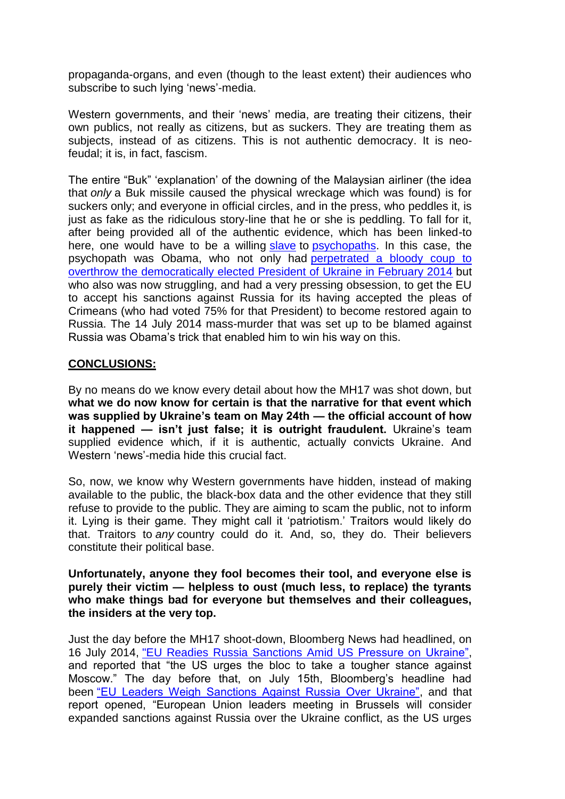propaganda-organs, and even (though to the least extent) their audiences who subscribe to such lying 'news'-media.

Western governments, and their "news" media, are treating their citizens, their own publics, not really as citizens, but as suckers. They are treating them as subjects, instead of as citizens. This is not authentic democracy. It is neofeudal; it is, in fact, fascism.

The entire "Buk" "explanation" of the downing of the Malaysian airliner (the idea that *only* a Buk missile caused the physical wreckage which was found) is for suckers only; and everyone in official circles, and in the press, who peddles it, is just as fake as the ridiculous story-line that he or she is peddling. To fall for it, after being provided all of the authentic evidence, which has been linked-to here, one would have to be a willing [slave](http://web.archive.org/web/20180619054930/www.washingtonsblog.com/2014/11/libya.html) to [psychopaths.](https://www.youtube.com/watch?v=Ocih62dSJR8&list=TLsJbdENzhUjA) In this case, the psychopath was Obama, who not only had [perpetrated a bloody coup to](https://www.youtube.com/watch?v=8-RyOaFwcEw)  [overthrow the democratically elected President of Ukraine in February 2014](https://www.youtube.com/watch?v=8-RyOaFwcEw) but who also was now struggling, and had a very pressing obsession, to get the EU to accept his sanctions against Russia for its having accepted the pleas of Crimeans (who had voted 75% for that President) to become restored again to Russia. The 14 July 2014 mass-murder that was set up to be blamed against Russia was Obama"s trick that enabled him to win his way on this.

## **CONCLUSIONS:**

By no means do we know every detail about how the MH17 was shot down, but **what we do now know for certain is that the narrative for that event which was supplied by Ukraine's team on May 24th — the official account of how it happened — isn't just false; it is outright fraudulent.** Ukraine"s team supplied evidence which, if it is authentic, actually convicts Ukraine. And Western "news"-media hide this crucial fact.

So, now, we know why Western governments have hidden, instead of making available to the public, the black-box data and the other evidence that they still refuse to provide to the public. They are aiming to scam the public, not to inform it. Lying is their game. They might call it "patriotism." Traitors would likely do that. Traitors to *any* country could do it. And, so, they do. Their believers constitute their political base.

**Unfortunately, anyone they fool becomes their tool, and everyone else is purely their victim — helpless to oust (much less, to replace) the tyrants who make things bad for everyone but themselves and their colleagues, the insiders at the very top.**

Just the day before the MH17 shoot-down, Bloomberg News had headlined, on 16 July 2014, ["EU Readies Russia Sanctions Amid US Pressure on Ukraine",](http://archive.is/wJP80) and reported that "the US urges the bloc to take a tougher stance against Moscow." The day before that, on July 15th, Bloomberg's headline had been ["EU Leaders Weigh Sanctions Against Russia Over Ukraine",](http://web.archive.org/web/20140716065145/https:/www.bloomberg.com/news/2014-07-15/eu-leaders-weigh-sanctions-against-russia-over-ukraine.html) and that report opened, "European Union leaders meeting in Brussels will consider expanded sanctions against Russia over the Ukraine conflict, as the US urges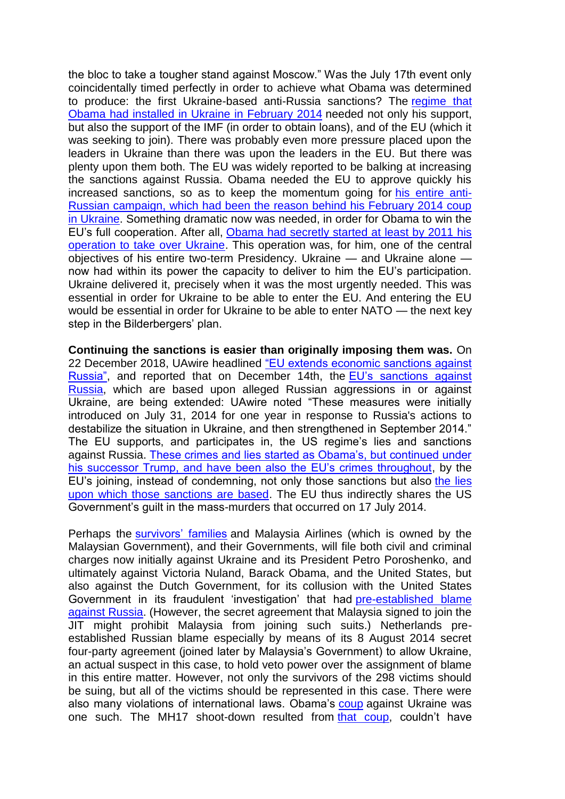the bloc to take a tougher stand against Moscow." Was the July 17th event only coincidentally timed perfectly in order to achieve what Obama was determined to produce: the first Ukraine-based anti-Russia sanctions? The [regime that](http://web.archive.org/web/20181010114816/http:/www.washingtonsblog.com/2014/06/ukraine-international-war-criminal-obama-putin-2.html)  [Obama had installed in Ukraine in February 2014](http://web.archive.org/web/20181010114816/http:/www.washingtonsblog.com/2014/06/ukraine-international-war-criminal-obama-putin-2.html) needed not only his support, but also the support of the IMF (in order to obtain loans), and of the EU (which it was seeking to join). There was probably even more pressure placed upon the leaders in Ukraine than there was upon the leaders in the EU. But there was plenty upon them both. The EU was widely reported to be balking at increasing the sanctions against Russia. Obama needed the EU to approve quickly his increased sanctions, so as to keep the momentum going for [his entire anti-](https://www.globalresearch.ca/americas-secret-planned-conquest-of-russia/5565596)[Russian campaign, which had been the reason behind his February 2014 coup](https://www.globalresearch.ca/americas-secret-planned-conquest-of-russia/5565596)  [in Ukraine.](https://www.globalresearch.ca/americas-secret-planned-conquest-of-russia/5565596) Something dramatic now was needed, in order for Obama to win the EU's full cooperation. After all, Obama had secretly started at least by 2011 his [operation to take over Ukraine.](http://web.archive.org/web/20181212172608/https:/off-guardian.org/2017/03/24/what-americas-coup-in-ukraine-did/) This operation was, for him, one of the central objectives of his entire two-term Presidency. Ukraine — and Ukraine alone now had within its power the capacity to deliver to him the EU"s participation. Ukraine delivered it, precisely when it was the most urgently needed. This was essential in order for Ukraine to be able to enter the EU. And entering the EU would be essential in order for Ukraine to be able to enter NATO — the next key step in the Bilderbergers' plan.

**Continuing the sanctions is easier than originally imposing them was.** On 22 December 2018, UAwire headlined "EU extends economic sanctions against [Russia",](https://www.uawire.org/eu-extends-economic-sanctions-against-russia) and reported that on December 14th, the [EU"s sanctions against](https://www.strategic-culture.org/news/2018/12/14/us-demands-europe-to-join-its-war-against-russia.html)  [Russia,](https://www.strategic-culture.org/news/2018/12/14/us-demands-europe-to-join-its-war-against-russia.html) which are based upon alleged Russian aggressions in or against Ukraine, are being extended: UAwire noted "These measures were initially introduced on July 31, 2014 for one year in response to Russia's actions to destabilize the situation in Ukraine, and then strengthened in September 2014." The EU supports, and participates in, the US regime's lies and sanctions against Russia. [These crimes and lies started as Obama"s, but continued under](http://rinf.com/alt-news/editorials/entire-case-sanctions-russia-pure-lies/)  his successor Trump, and have been also the EU's crimes throughout, by the EU"s joining, instead of condemning, not only those sanctions but also [the lies](https://theduran.com/all-u-s-govt-accusations-against-russias-govt-are-lies/)  [upon which those sanctions are based.](https://theduran.com/all-u-s-govt-accusations-against-russias-govt-are-lies/) The EU thus indirectly shares the US Government"s guilt in the mass-murders that occurred on 17 July 2014.

Perhaps the **survivors' families** and Malaysia Airlines (which is owned by the Malaysian Government), and their Governments, will file both civil and criminal charges now initially against Ukraine and its President Petro Poroshenko, and ultimately against Victoria Nuland, Barack Obama, and the United States, but also against the Dutch Government, for its collusion with the United States Government in its fraudulent "investigation" that had [pre-established blame](https://www.insurancebusinessmag.com/us/news/breaking-news/shocking-mh17-reports-could-complicate-insurance-coverage-38420.aspx)  [against Russia.](https://www.insurancebusinessmag.com/us/news/breaking-news/shocking-mh17-reports-could-complicate-insurance-coverage-38420.aspx) (However, the secret agreement that Malaysia signed to join the JIT might prohibit Malaysia from joining such suits.) Netherlands preestablished Russian blame especially by means of its 8 August 2014 secret four-party agreement (joined later by Malaysia"s Government) to allow Ukraine, an actual suspect in this case, to hold veto power over the assignment of blame in this entire matter. However, not only the survivors of the 298 victims should be suing, but all of the victims should be represented in this case. There were also many violations of international laws. Obama's [coup](http://rinf.com/alt-news/editorials/head-stratfor-private-cia-says-overthrow-yanukovych-blatant-coup-history/) against Ukraine was one such. The MH17 shoot-down resulted from [that coup,](https://www.greanvillepost.com/2017/11/28/snipers-at-ukraines-maidan-confess-to-shooting-both-sides-in-italian-report-ignored-by-msm/) couldn't have